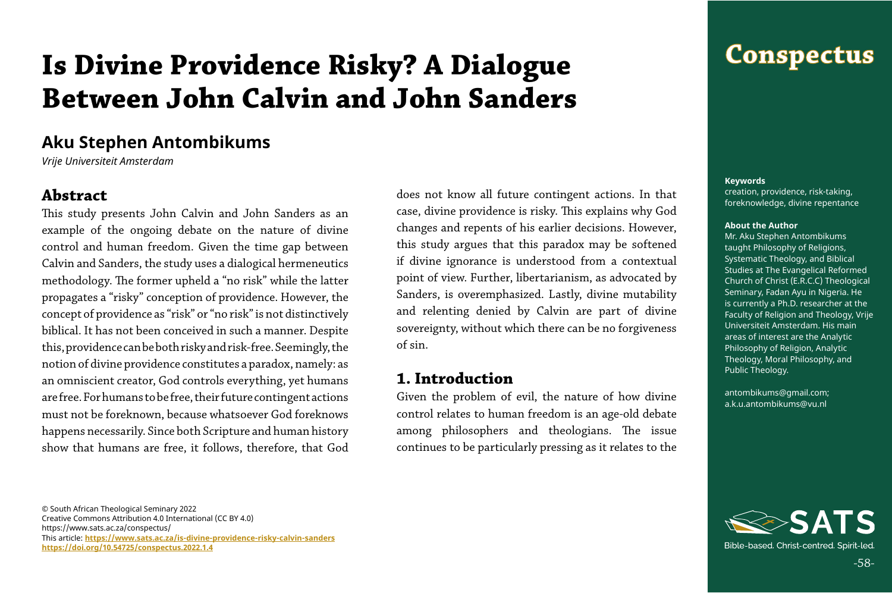## **Conspectus**

-58-

© South African Theological Seminary 2022 Creative Commons Attribution 4.0 International (CC BY 4.0) https://www.sats.ac.za/conspectus/ This article: **[https://www.sats.ac.za/](https://www.sats.ac.za/is-divine-providence-risky-calvin-sanders)is-divine-providence-risky-calvin-sanders <https://doi.org/10.54725/conspectus.2022.1.4>**

#### **Keywords**

creation, providence, risk-taking, foreknowledge, divine repentance

#### **About the Author**

Mr. Aku Stephen Antombikums taught Philosophy of Religions, Systematic Theology, and Biblical Studies at The Evangelical Reformed Church of Christ (E.R.C.C) Theological Seminary, Fadan Ayu in Nigeria. He is currently a Ph.D. researcher at the Faculty of Religion and Theology, Vrije Universiteit Amsterdam. His main areas of interest are the Analytic Philosophy of Religion, Analytic Theology, Moral Philosophy, and Public Theology.

antombikums@gmail.com; a.k.u.antombikums@vu.nl



Bible-based, Christ-centred, Spirit-led,

# **Is Divine Providence Risky? A Dialogue Between John Calvin and John Sanders**

## **Aku Stephen Antombikums**

*Vrije Universiteit Amsterdam*

#### **Abstract**

This study presents John Calvin and John Sanders as an example of the ongoing debate on the nature of divine control and human freedom. Given the time gap between Calvin and Sanders, the study uses a dialogical hermeneutics methodology. The former upheld a "no risk" while the latter propagates a "risky" conception of providence. However, the concept of providence as "risk" or "no risk" is not distinctively biblical. It has not been conceived in such a manner. Despite this, providence can be both risky and risk-free. Seemingly, the notion of divine providence constitutes a paradox, namely: as an omniscient creator, God controls everything, yet humans are free. For humans to be free, their future contingent actions must not be foreknown, because whatsoever God foreknows happens necessarily. Since both Scripture and human history show that humans are free, it follows, therefore, that God

does not know all future contingent actions. In that case, divine providence is risky. This explains why God changes and repents of his earlier decisions. However, this study argues that this paradox may be softened if divine ignorance is understood from a contextual point of view. Further, libertarianism, as advocated by Sanders, is overemphasized. Lastly, divine mutability and relenting denied by Calvin are part of divine sovereignty, without which there can be no forgiveness of sin.

#### **1. Introduction**

Given the problem of evil, the nature of how divine control relates to human freedom is an age-old debate among philosophers and theologians. The issue continues to be particularly pressing as it relates to the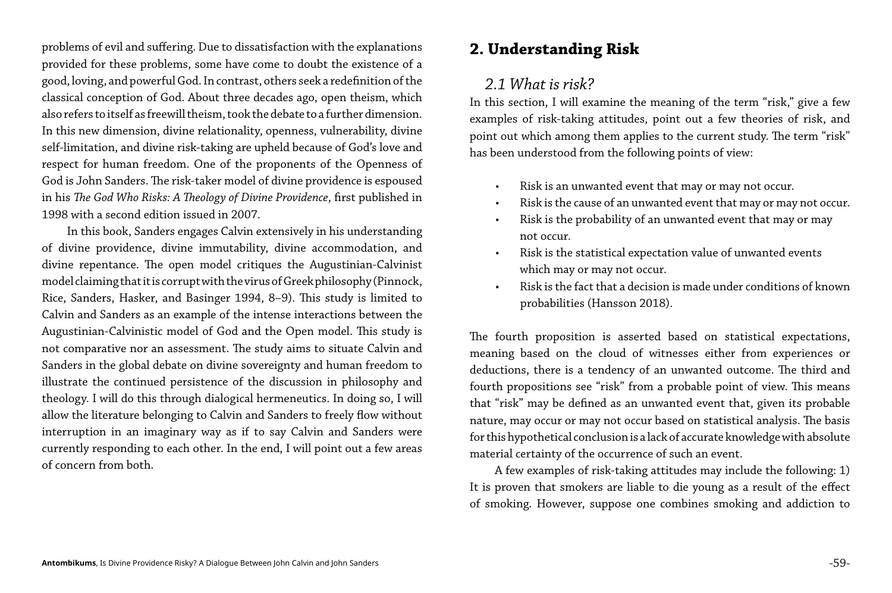problems of evil and suffering. Due to dissatisfaction with the explanations provided for these problems, some have come to doubt the existence of a good, loving, and powerful God. In contrast, others seek a redefinition of the classical conception of God. About three decades ago, open theism, which also refers to itself as freewill theism, took the debate to a further dimension. In this new dimension, divine relationality, openness, vulnerability, divine self-limitation, and divine risk-taking are upheld because of God's love and respect for human freedom. One of the proponents of the Openness of God is John Sanders. The risk-taker model of divine providence is espoused in his *The God Who Risks: A Theology of Divine Providence*, first published in 1998 with a second edition issued in 2007.

In this book, Sanders engages Calvin extensively in his understanding of divine providence, divine immutability, divine accommodation, and divine repentance. The open model critiques the Augustinian-Calvinist model claiming that it is corrupt with the virus of Greek philosophy (Pinnock, Rice, Sanders, Hasker, and Basinger 1994, 8–9). This study is limited to Calvin and Sanders as an example of the intense interactions between the Augustinian-Calvinistic model of God and the Open model. This study is not comparative nor an assessment. The study aims to situate Calvin and Sanders in the global debate on divine sovereignty and human freedom to illustrate the continued persistence of the discussion in philosophy and theology. I will do this through dialogical hermeneutics. In doing so, I will allow the literature belonging to Calvin and Sanders to freely flow without interruption in an imaginary way as if to say Calvin and Sanders were currently responding to each other. In the end, I will point out a few areas of concern from both.

### **2. Understanding Risk**

#### *2.1 What is risk?*

In this section, I will examine the meaning of the term "risk," give a few examples of risk-taking attitudes, point out a few theories of risk, and point out which among them applies to the current study. The term "risk" has been understood from the following points of view:

• Risk is an unwanted event that may or may not occur. • Risk is the cause of an unwanted event that may or may not occur. • Risk is the probability of an unwanted event that may or may

Risk is the statistical expectation value of unwanted events

- 
- 
- not occur.
- which may or may not occur.
- probabilities (Hansson 2018).

• Risk is the fact that a decision is made under conditions of known

The fourth proposition is asserted based on statistical expectations, meaning based on the cloud of witnesses either from experiences or deductions, there is a tendency of an unwanted outcome. The third and fourth propositions see "risk" from a probable point of view. This means that "risk" may be defined as an unwanted event that, given its probable nature, may occur or may not occur based on statistical analysis. The basis for this hypothetical conclusion is a lack of accurate knowledge with absolute material certainty of the occurrence of such an event.

A few examples of risk-taking attitudes may include the following: 1) It is proven that smokers are liable to die young as a result of the effect of smoking. However, suppose one combines smoking and addiction to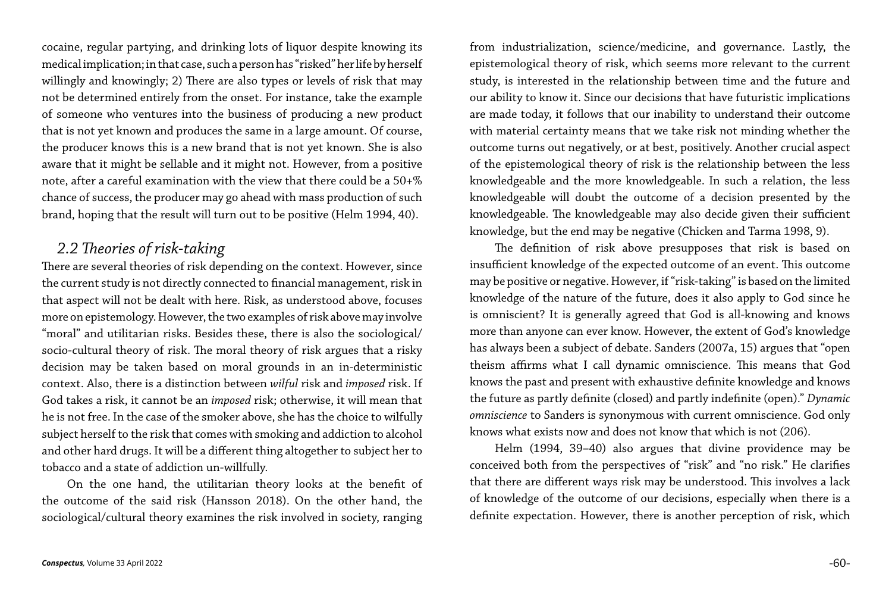cocaine, regular partying, and drinking lots of liquor despite knowing its medical implication; in that case, such a person has "risked" her life by herself willingly and knowingly; 2) There are also types or levels of risk that may not be determined entirely from the onset. For instance, take the example of someone who ventures into the business of producing a new product that is not yet known and produces the same in a large amount. Of course, the producer knows this is a new brand that is not yet known. She is also aware that it might be sellable and it might not. However, from a positive note, after a careful examination with the view that there could be a 50+% chance of success, the producer may go ahead with mass production of such brand, hoping that the result will turn out to be positive (Helm 1994, 40).

#### *2.2 Theories of risk-taking*

There are several theories of risk depending on the context. However, since the current study is not directly connected to financial management, risk in that aspect will not be dealt with here. Risk, as understood above, focuses more on epistemology. However, the two examples of risk above may involve "moral" and utilitarian risks. Besides these, there is also the sociological/ socio-cultural theory of risk. The moral theory of risk argues that a risky decision may be taken based on moral grounds in an in-deterministic context. Also, there is a distinction between *wilful* risk and *imposed* risk. If God takes a risk, it cannot be an *imposed* risk; otherwise, it will mean that he is not free. In the case of the smoker above, she has the choice to wilfully subject herself to the risk that comes with smoking and addiction to alcohol and other hard drugs. It will be a different thing altogether to subject her to tobacco and a state of addiction un-willfully.

On the one hand, the utilitarian theory looks at the benefit of the outcome of the said risk (Hansson 2018). On the other hand, the sociological/cultural theory examines the risk involved in society, ranging

from industrialization, science/medicine, and governance. Lastly, the epistemological theory of risk, which seems more relevant to the current study, is interested in the relationship between time and the future and our ability to know it. Since our decisions that have futuristic implications are made today, it follows that our inability to understand their outcome with material certainty means that we take risk not minding whether the outcome turns out negatively, or at best, positively. Another crucial aspect of the epistemological theory of risk is the relationship between the less knowledgeable and the more knowledgeable. In such a relation, the less knowledgeable will doubt the outcome of a decision presented by the knowledgeable. The knowledgeable may also decide given their sufficient knowledge, but the end may be negative (Chicken and Tarma 1998, 9).

The definition of risk above presupposes that risk is based on insufficient knowledge of the expected outcome of an event. This outcome may be positive or negative. However, if "risk-taking" is based on the limited knowledge of the nature of the future, does it also apply to God since he is omniscient? It is generally agreed that God is all-knowing and knows more than anyone can ever know. However, the extent of God's knowledge has always been a subject of debate. Sanders (2007a, 15) argues that "open theism affirms what I call dynamic omniscience. This means that God knows the past and present with exhaustive definite knowledge and knows the future as partly definite (closed) and partly indefinite (open)." *Dynamic omniscience* to Sanders is synonymous with current omniscience. God only knows what exists now and does not know that which is not (206).

Helm (1994, 39–40) also argues that divine providence may be conceived both from the perspectives of "risk" and "no risk." He clarifies that there are different ways risk may be understood. This involves a lack of knowledge of the outcome of our decisions, especially when there is a definite expectation. However, there is another perception of risk, which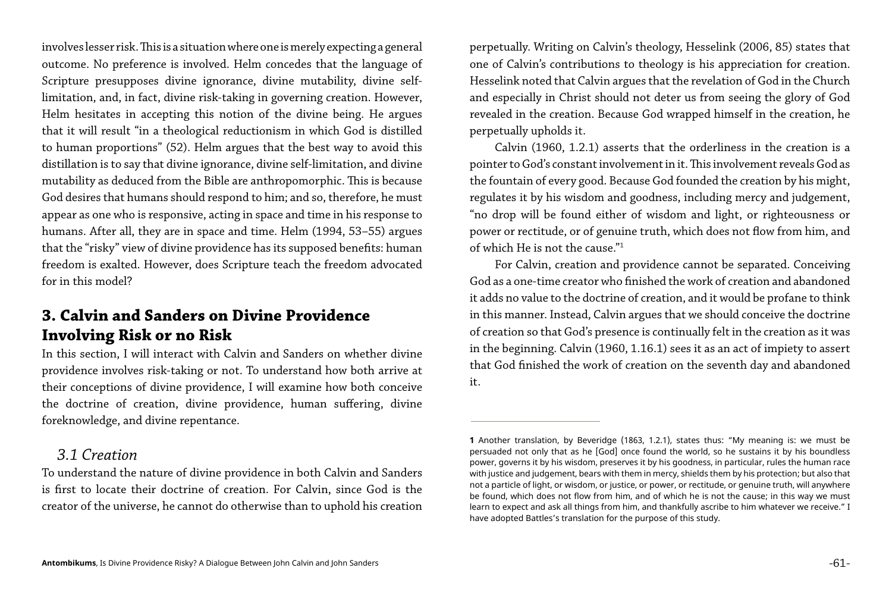involves lesser risk. This is a situation where one is merely expecting a general outcome. No preference is involved. Helm concedes that the language of Scripture presupposes divine ignorance, divine mutability, divine selflimitation, and, in fact, divine risk-taking in governing creation. However, Helm hesitates in accepting this notion of the divine being. He argues that it will result "in a theological reductionism in which God is distilled to human proportions" (52). Helm argues that the best way to avoid this distillation is to say that divine ignorance, divine self-limitation, and divine mutability as deduced from the Bible are anthropomorphic. This is because God desires that humans should respond to him; and so, therefore, he must appear as one who is responsive, acting in space and time in his response to humans. After all, they are in space and time. Helm (1994, 53–55) argues that the "risky" view of divine providence has its supposed benefits: human freedom is exalted. However, does Scripture teach the freedom advocated for in this model?

#### **3. Calvin and Sanders on Divine Providence Involving Risk or no Risk**

In this section, I will interact with Calvin and Sanders on whether divine providence involves risk-taking or not. To understand how both arrive at their conceptions of divine providence, I will examine how both conceive the doctrine of creation, divine providence, human suffering, divine foreknowledge, and divine repentance.

#### *3.1 Creation*

To understand the nature of divine providence in both Calvin and Sanders is first to locate their doctrine of creation. For Calvin, since God is the creator of the universe, he cannot do otherwise than to uphold his creation

perpetually. Writing on Calvin's theology, Hesselink (2006, 85) states that one of Calvin's contributions to theology is his appreciation for creation. Hesselink noted that Calvin argues that the revelation of God in the Church and especially in Christ should not deter us from seeing the glory of God revealed in the creation. Because God wrapped himself in the creation, he perpetually upholds it.

Calvin (1960, 1.2.1) asserts that the orderliness in the creation is a pointer to God's constant involvement in it. This involvement reveals God as the fountain of every good. Because God founded the creation by his might, regulates it by his wisdom and goodness, including mercy and judgement, "no drop will be found either of wisdom and light, or righteousness or power or rectitude, or of genuine truth, which does not flow from him, and of which He is not the cause."1

For Calvin, creation and providence cannot be separated. Conceiving God as a one-time creator who finished the work of creation and abandoned it adds no value to the doctrine of creation, and it would be profane to think in this manner. Instead, Calvin argues that we should conceive the doctrine of creation so that God's presence is continually felt in the creation as it was in the beginning. Calvin (1960, 1.16.1) sees it as an act of impiety to assert that God finished the work of creation on the seventh day and abandoned it.

**1** Another translation, by Beveridge (1863, 1.2.1), states thus: "My meaning is: we must be persuaded not only that as he [God] once found the world, so he sustains it by his boundless power, governs it by his wisdom, preserves it by his goodness, in particular, rules the human race with justice and judgement, bears with them in mercy, shields them by his protection; but also that not a particle of light, or wisdom, or justice, or power, or rectitude, or genuine truth, will anywhere be found, which does not flow from him, and of which he is not the cause; in this way we must learn to expect and ask all things from him, and thankfully ascribe to him whatever we receive." I

have adopted Battles's translation for the purpose of this study.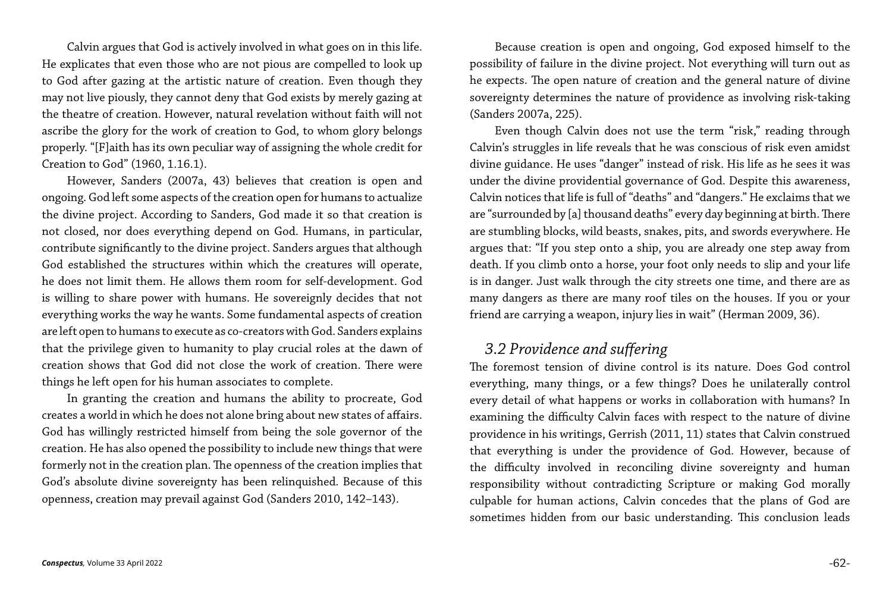Calvin argues that God is actively involved in what goes on in this life. He explicates that even those who are not pious are compelled to look up to God after gazing at the artistic nature of creation. Even though they may not live piously, they cannot deny that God exists by merely gazing at the theatre of creation. However, natural revelation without faith will not ascribe the glory for the work of creation to God, to whom glory belongs properly. "[F]aith has its own peculiar way of assigning the whole credit for Creation to God" (1960, 1.16.1).

However, Sanders (2007a, 43) believes that creation is open and ongoing. God left some aspects of the creation open for humans to actualize the divine project. According to Sanders, God made it so that creation is not closed, nor does everything depend on God. Humans, in particular, contribute significantly to the divine project. Sanders argues that although God established the structures within which the creatures will operate, he does not limit them. He allows them room for self-development. God is willing to share power with humans. He sovereignly decides that not everything works the way he wants. Some fundamental aspects of creation are left open to humans to execute as co-creators with God. Sanders explains that the privilege given to humanity to play crucial roles at the dawn of creation shows that God did not close the work of creation. There were things he left open for his human associates to complete.

In granting the creation and humans the ability to procreate, God creates a world in which he does not alone bring about new states of affairs. God has willingly restricted himself from being the sole governor of the creation. He has also opened the possibility to include new things that were formerly not in the creation plan. The openness of the creation implies that God's absolute divine sovereignty has been relinquished. Because of this openness, creation may prevail against God (Sanders 2010, 142–143).

Because creation is open and ongoing, God exposed himself to the possibility of failure in the divine project. Not everything will turn out as he expects. The open nature of creation and the general nature of divine sovereignty determines the nature of providence as involving risk-taking (Sanders 2007a, 225).

Even though Calvin does not use the term "risk," reading through Calvin's struggles in life reveals that he was conscious of risk even amidst divine guidance. He uses "danger" instead of risk. His life as he sees it was under the divine providential governance of God. Despite this awareness, Calvin notices that life is full of "deaths" and "dangers." He exclaims that we are "surrounded by [a] thousand deaths" every day beginning at birth. There are stumbling blocks, wild beasts, snakes, pits, and swords everywhere. He argues that: "If you step onto a ship, you are already one step away from death. If you climb onto a horse, your foot only needs to slip and your life is in danger. Just walk through the city streets one time, and there are as many dangers as there are many roof tiles on the houses. If you or your friend are carrying a weapon, injury lies in wait" (Herman 2009, 36).

#### *3.2 Providence and suffering*

The foremost tension of divine control is its nature. Does God control everything, many things, or a few things? Does he unilaterally control every detail of what happens or works in collaboration with humans? In examining the difficulty Calvin faces with respect to the nature of divine providence in his writings, Gerrish (2011, 11) states that Calvin construed that everything is under the providence of God. However, because of the difficulty involved in reconciling divine sovereignty and human responsibility without contradicting Scripture or making God morally culpable for human actions, Calvin concedes that the plans of God are sometimes hidden from our basic understanding. This conclusion leads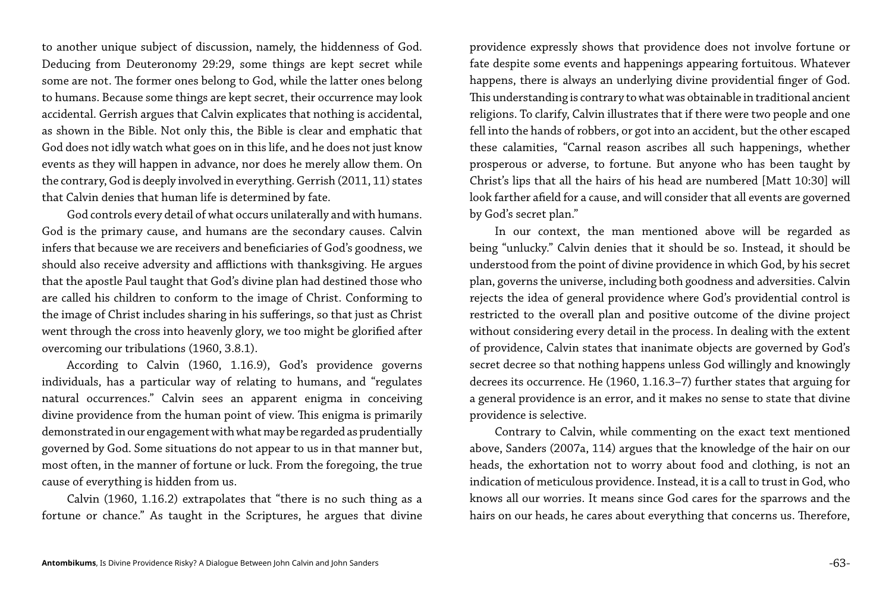to another unique subject of discussion, namely, the hiddenness of God. Deducing from Deuteronomy 29:29, some things are kept secret while some are not. The former ones belong to God, while the latter ones belong to humans. Because some things are kept secret, their occurrence may look accidental. Gerrish argues that Calvin explicates that nothing is accidental, as shown in the Bible. Not only this, the Bible is clear and emphatic that God does not idly watch what goes on in this life, and he does not just know events as they will happen in advance, nor does he merely allow them. On the contrary, God is deeply involved in everything. Gerrish (2011, 11) states that Calvin denies that human life is determined by fate.

God controls every detail of what occurs unilaterally and with humans. God is the primary cause, and humans are the secondary causes. Calvin infers that because we are receivers and beneficiaries of God's goodness, we should also receive adversity and afflictions with thanksgiving. He argues that the apostle Paul taught that God's divine plan had destined those who are called his children to conform to the image of Christ. Conforming to the image of Christ includes sharing in his sufferings, so that just as Christ went through the cross into heavenly glory, we too might be glorified after overcoming our tribulations (1960, 3.8.1).

According to Calvin (1960, 1.16.9), God's providence governs individuals, has a particular way of relating to humans, and "regulates natural occurrences." Calvin sees an apparent enigma in conceiving divine providence from the human point of view. This enigma is primarily demonstrated in our engagement with what may be regarded as prudentially governed by God. Some situations do not appear to us in that manner but, most often, in the manner of fortune or luck. From the foregoing, the true cause of everything is hidden from us.

Calvin (1960, 1.16.2) extrapolates that "there is no such thing as a fortune or chance." As taught in the Scriptures, he argues that divine

providence expressly shows that providence does not involve fortune or fate despite some events and happenings appearing fortuitous. Whatever happens, there is always an underlying divine providential finger of God. This understanding is contrary to what was obtainable in traditional ancient religions. To clarify, Calvin illustrates that if there were two people and one fell into the hands of robbers, or got into an accident, but the other escaped these calamities, "Carnal reason ascribes all such happenings, whether prosperous or adverse, to fortune. But anyone who has been taught by Christ's lips that all the hairs of his head are numbered [Matt 10:30] will look farther afield for a cause, and will consider that all events are governed by God's secret plan."

In our context, the man mentioned above will be regarded as being "unlucky." Calvin denies that it should be so. Instead, it should be understood from the point of divine providence in which God, by his secret plan, governs the universe, including both goodness and adversities. Calvin rejects the idea of general providence where God's providential control is restricted to the overall plan and positive outcome of the divine project without considering every detail in the process. In dealing with the extent of providence, Calvin states that inanimate objects are governed by God's secret decree so that nothing happens unless God willingly and knowingly decrees its occurrence. He (1960, 1.16.3–7) further states that arguing for a general providence is an error, and it makes no sense to state that divine providence is selective.

Contrary to Calvin, while commenting on the exact text mentioned above, Sanders (2007a, 114) argues that the knowledge of the hair on our heads, the exhortation not to worry about food and clothing, is not an indication of meticulous providence. Instead, it is a call to trust in God, who knows all our worries. It means since God cares for the sparrows and the hairs on our heads, he cares about everything that concerns us. Therefore,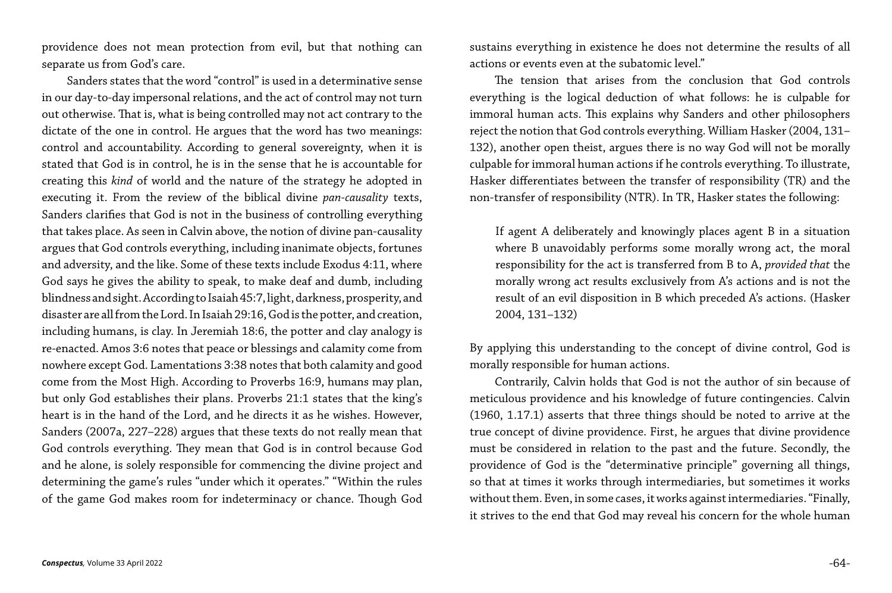providence does not mean protection from evil, but that nothing can separate us from God's care.

Sanders states that the word "control" is used in a determinative sense in our day-to-day impersonal relations, and the act of control may not turn out otherwise. That is, what is being controlled may not act contrary to the dictate of the one in control. He argues that the word has two meanings: control and accountability. According to general sovereignty, when it is stated that God is in control, he is in the sense that he is accountable for creating this *kind* of world and the nature of the strategy he adopted in executing it. From the review of the biblical divine *pan-causality* texts, Sanders clarifies that God is not in the business of controlling everything that takes place. As seen in Calvin above, the notion of divine pan-causality argues that God controls everything, including inanimate objects, fortunes and adversity, and the like. Some of these texts include Exodus 4:11, where God says he gives the ability to speak, to make deaf and dumb, including blindness and sight. According to Isaiah 45:7, light, darkness, prosperity, and disaster are all from the Lord. In Isaiah 29:16, God is the potter, and creation, including humans, is clay. In Jeremiah 18:6, the potter and clay analogy is re-enacted. Amos 3:6 notes that peace or blessings and calamity come from nowhere except God. Lamentations 3:38 notes that both calamity and good come from the Most High. According to Proverbs 16:9, humans may plan, but only God establishes their plans. Proverbs 21:1 states that the king's heart is in the hand of the Lord, and he directs it as he wishes. However, Sanders (2007a, 227–228) argues that these texts do not really mean that God controls everything. They mean that God is in control because God and he alone, is solely responsible for commencing the divine project and determining the game's rules "under which it operates." "Within the rules of the game God makes room for indeterminacy or chance. Though God

sustains everything in existence he does not determine the results of all actions or events even at the subatomic level."

The tension that arises from the conclusion that God controls everything is the logical deduction of what follows: he is culpable for immoral human acts. This explains why Sanders and other philosophers reject the notion that God controls everything. William Hasker (2004, 131– 132), another open theist, argues there is no way God will not be morally culpable for immoral human actions if he controls everything. To illustrate, Hasker differentiates between the transfer of responsibility (TR) and the non-transfer of responsibility (NTR). In TR, Hasker states the following:

If agent A deliberately and knowingly places agent B in a situation where B unavoidably performs some morally wrong act, the moral responsibility for the act is transferred from B to A, *provided that* the morally wrong act results exclusively from A's actions and is not the result of an evil disposition in B which preceded A's actions. (Hasker 2004, 131–132)

By applying this understanding to the concept of divine control, God is morally responsible for human actions. Contrarily, Calvin holds that God is not the author of sin because of meticulous providence and his knowledge of future contingencies. Calvin (1960, 1.17.1) asserts that three things should be noted to arrive at the true concept of divine providence. First, he argues that divine providence must be considered in relation to the past and the future. Secondly, the providence of God is the "determinative principle" governing all things, so that at times it works through intermediaries, but sometimes it works without them. Even, in some cases, it works against intermediaries. "Finally, it strives to the end that God may reveal his concern for the whole human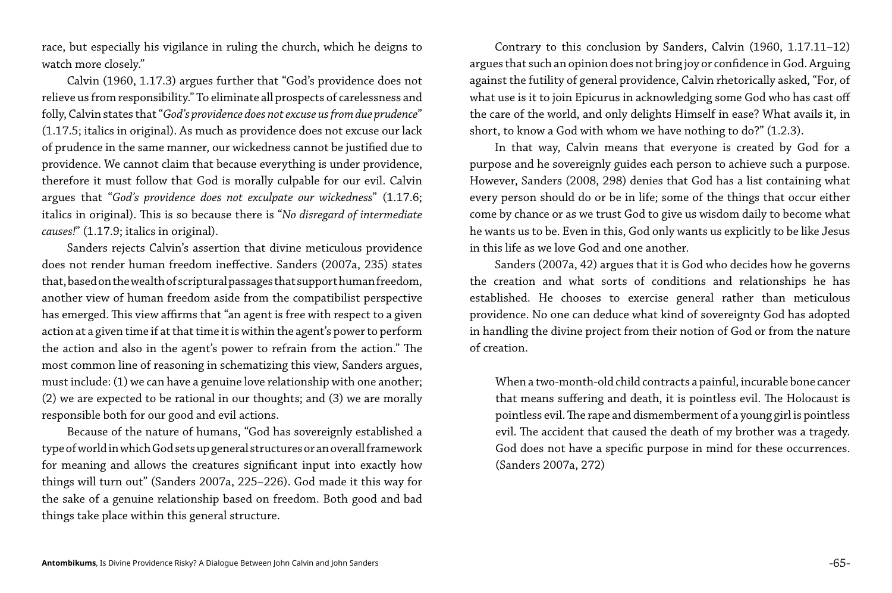race, but especially his vigilance in ruling the church, which he deigns to watch more closely."

Calvin (1960, 1.17.3) argues further that "God's providence does not relieve us from responsibility." To eliminate all prospects of carelessness and folly, Calvin states that "*God's providence does not excuse us from due prudence*" (1.17.5; italics in original). As much as providence does not excuse our lack of prudence in the same manner, our wickedness cannot be justified due to providence. We cannot claim that because everything is under providence, therefore it must follow that God is morally culpable for our evil. Calvin argues that "*God's providence does not exculpate our wickedness*" (1.17.6; italics in original). This is so because there is "*No disregard of intermediate causes!*" (1.17.9; italics in original).

Sanders rejects Calvin's assertion that divine meticulous providence does not render human freedom ineffective. Sanders (2007a, 235) states that, based on the wealth of scriptural passages that support human freedom, another view of human freedom aside from the compatibilist perspective has emerged. This view affirms that "an agent is free with respect to a given action at a given time if at that time it is within the agent's power to perform the action and also in the agent's power to refrain from the action." The most common line of reasoning in schematizing this view, Sanders argues, must include: (1) we can have a genuine love relationship with one another; (2) we are expected to be rational in our thoughts; and (3) we are morally responsible both for our good and evil actions.

Because of the nature of humans, "God has sovereignly established a type of world in which God sets up general structures or an overall framework for meaning and allows the creatures significant input into exactly how things will turn out" (Sanders 2007a, 225–226). God made it this way for the sake of a genuine relationship based on freedom. Both good and bad things take place within this general structure.

Contrary to this conclusion by Sanders, Calvin (1960, 1.17.11–12) argues that such an opinion does not bring joy or confidence in God. Arguing against the futility of general providence, Calvin rhetorically asked, "For, of what use is it to join Epicurus in acknowledging some God who has cast off the care of the world, and only delights Himself in ease? What avails it, in short, to know a God with whom we have nothing to do?" (1.2.3).

In that way, Calvin means that everyone is created by God for a purpose and he sovereignly guides each person to achieve such a purpose. However, Sanders (2008, 298) denies that God has a list containing what every person should do or be in life; some of the things that occur either come by chance or as we trust God to give us wisdom daily to become what he wants us to be. Even in this, God only wants us explicitly to be like Jesus in this life as we love God and one another.

Sanders (2007a, 42) argues that it is God who decides how he governs the creation and what sorts of conditions and relationships he has established. He chooses to exercise general rather than meticulous providence. No one can deduce what kind of sovereignty God has adopted in handling the divine project from their notion of God or from the nature of creation.

When a two-month-old child contracts a painful, incurable bone cancer that means suffering and death, it is pointless evil. The Holocaust is pointless evil. The rape and dismemberment of a young girl is pointless evil. The accident that caused the death of my brother was a tragedy. God does not have a specific purpose in mind for these occurrences. (Sanders 2007a, 272)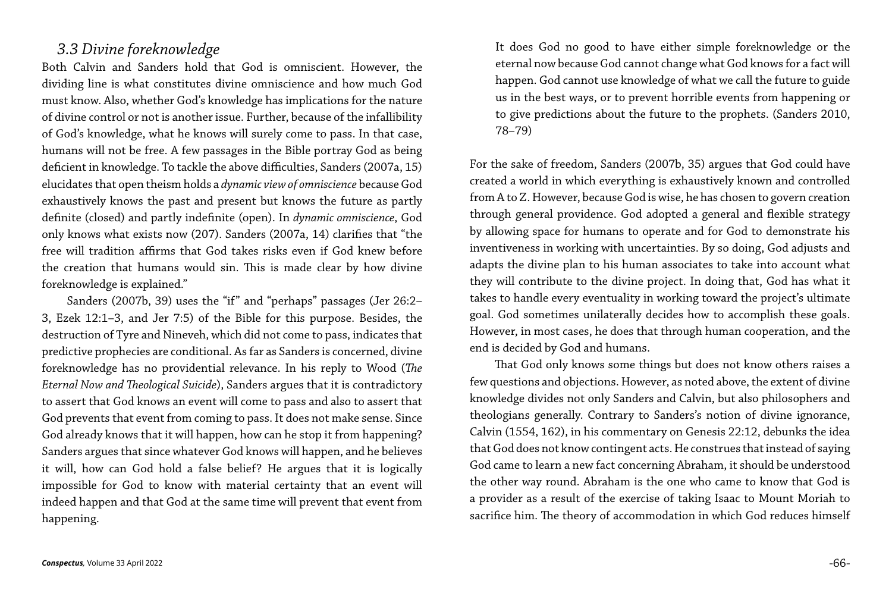#### *3.3 Divine foreknowledge*

Both Calvin and Sanders hold that God is omniscient. However, the dividing line is what constitutes divine omniscience and how much God must know. Also, whether God's knowledge has implications for the nature of divine control or not is another issue. Further, because of the infallibility of God's knowledge, what he knows will surely come to pass. In that case, humans will not be free. A few passages in the Bible portray God as being deficient in knowledge. To tackle the above difficulties, Sanders (2007a, 15) elucidates that open theism holds a *dynamic view of omniscience* because God exhaustively knows the past and present but knows the future as partly definite (closed) and partly indefinite (open). In *dynamic omniscience*, God only knows what exists now (207). Sanders (2007a, 14) clarifies that "the free will tradition affirms that God takes risks even if God knew before the creation that humans would sin. This is made clear by how divine foreknowledge is explained."

Sanders (2007b, 39) uses the "if" and "perhaps" passages (Jer 26:2– 3, Ezek 12:1–3, and Jer 7:5) of the Bible for this purpose. Besides, the destruction of Tyre and Nineveh, which did not come to pass, indicates that predictive prophecies are conditional. As far as Sanders is concerned, divine foreknowledge has no providential relevance. In his reply to Wood (*The Eternal Now and Theological Suicide*), Sanders argues that it is contradictory to assert that God knows an event will come to pass and also to assert that God prevents that event from coming to pass. It does not make sense. Since God already knows that it will happen, how can he stop it from happening? Sanders argues that since whatever God knows will happen, and he believes it will, how can God hold a false belief? He argues that it is logically impossible for God to know with material certainty that an event will indeed happen and that God at the same time will prevent that event from happening.

It does God no good to have either simple foreknowledge or the eternal now because God cannot change what God knows for a fact will happen. God cannot use knowledge of what we call the future to guide us in the best ways, or to prevent horrible events from happening or to give predictions about the future to the prophets. (Sanders 2010, 78–79)

For the sake of freedom, Sanders (2007b, 35) argues that God could have created a world in which everything is exhaustively known and controlled from A to Z. However, because God is wise, he has chosen to govern creation through general providence. God adopted a general and flexible strategy by allowing space for humans to operate and for God to demonstrate his inventiveness in working with uncertainties. By so doing, God adjusts and adapts the divine plan to his human associates to take into account what they will contribute to the divine project. In doing that, God has what it takes to handle every eventuality in working toward the project's ultimate goal. God sometimes unilaterally decides how to accomplish these goals. However, in most cases, he does that through human cooperation, and the end is decided by God and humans.

That God only knows some things but does not know others raises a few questions and objections. However, as noted above, the extent of divine knowledge divides not only Sanders and Calvin, but also philosophers and theologians generally. Contrary to Sanders's notion of divine ignorance, Calvin (1554, 162), in his commentary on Genesis 22:12, debunks the idea that God does not know contingent acts. He construes that instead of saying God came to learn a new fact concerning Abraham, it should be understood the other way round. Abraham is the one who came to know that God is a provider as a result of the exercise of taking Isaac to Mount Moriah to sacrifice him. The theory of accommodation in which God reduces himself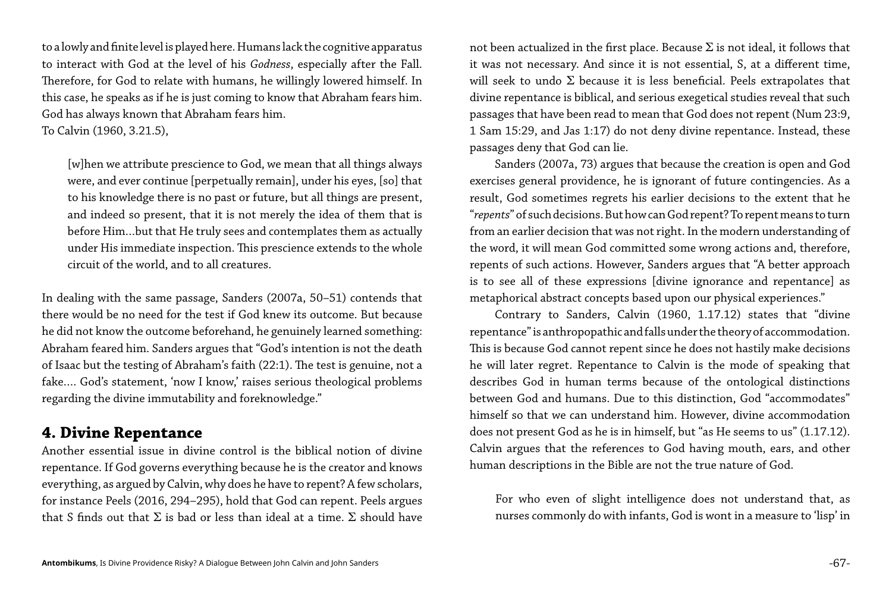to a lowly and finite level is played here. Humans lack the cognitive apparatus to interact with God at the level of his *Godness*, especially after the Fall. Therefore, for God to relate with humans, he willingly lowered himself. In this case, he speaks as if he is just coming to know that Abraham fears him. God has always known that Abraham fears him.

To Calvin (1960, 3.21.5),

[w]hen we attribute prescience to God, we mean that all things always were, and ever continue [perpetually remain], under his eyes, [so] that to his knowledge there is no past or future, but all things are present, and indeed so present, that it is not merely the idea of them that is before Him…but that He truly sees and contemplates them as actually under His immediate inspection. This prescience extends to the whole circuit of the world, and to all creatures.

Another essential issue in divine control is the biblical notion of divine repentance. If God governs everything because he is the creator and knows everything, as argued by Calvin, why does he have to repent? A few scholars, for instance Peels (2016, 294–295), hold that God can repent. Peels argues that S finds out that  $\Sigma$  is bad or less than ideal at a time.  $\Sigma$  should have

not been actualized in the first place. Because  $\Sigma$  is not ideal, it follows that it was not necessary. And since it is not essential, S, at a different time, will seek to undo  $\Sigma$  because it is less beneficial. Peels extrapolates that divine repentance is biblical, and serious exegetical studies reveal that such passages that have been read to mean that God does not repent (Num 23:9, 1 Sam 15:29, and Jas 1:17) do not deny divine repentance. Instead, these passages deny that God can lie.

In dealing with the same passage, Sanders (2007a, 50–51) contends that there would be no need for the test if God knew its outcome. But because he did not know the outcome beforehand, he genuinely learned something: Abraham feared him. Sanders argues that "God's intention is not the death of Isaac but the testing of Abraham's faith (22:1). The test is genuine, not a fake…. God's statement, 'now I know,' raises serious theological problems regarding the divine immutability and foreknowledge."

#### **4. Divine Repentance**

Sanders (2007a, 73) argues that because the creation is open and God exercises general providence, he is ignorant of future contingencies. As a result, God sometimes regrets his earlier decisions to the extent that he "*repents*" of such decisions. But how can God repent? To repent means to turn from an earlier decision that was not right. In the modern understanding of the word, it will mean God committed some wrong actions and, therefore, repents of such actions. However, Sanders argues that "A better approach is to see all of these expressions [divine ignorance and repentance] as metaphorical abstract concepts based upon our physical experiences."

Contrary to Sanders, Calvin (1960, 1.17.12) states that "divine repentance" is anthropopathic and falls under the theory of accommodation. This is because God cannot repent since he does not hastily make decisions he will later regret. Repentance to Calvin is the mode of speaking that describes God in human terms because of the ontological distinctions between God and humans. Due to this distinction, God "accommodates" himself so that we can understand him. However, divine accommodation does not present God as he is in himself, but "as He seems to us" (1.17.12). Calvin argues that the references to God having mouth, ears, and other human descriptions in the Bible are not the true nature of God.

For who even of slight intelligence does not understand that, as nurses commonly do with infants, God is wont in a measure to 'lisp' in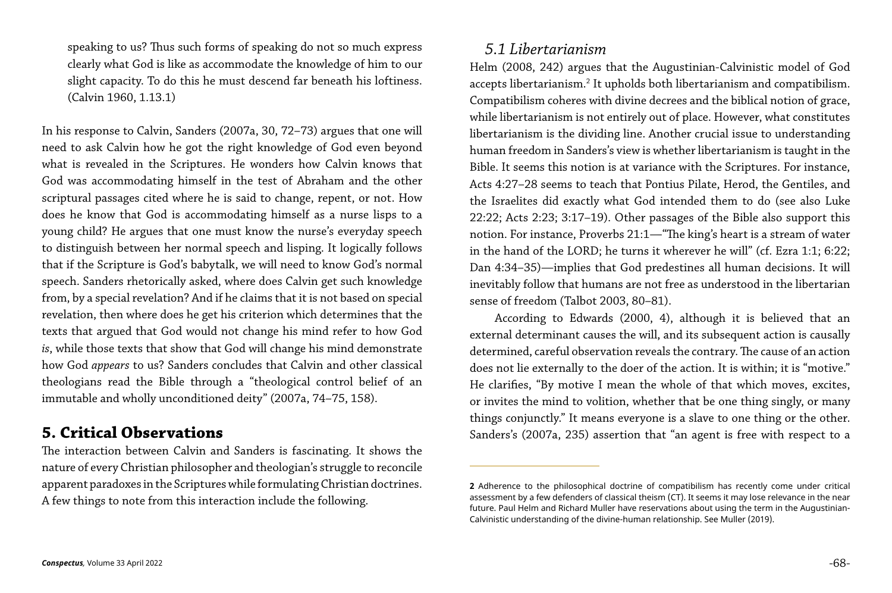speaking to us? Thus such forms of speaking do not so much express clearly what God is like as accommodate the knowledge of him to our slight capacity. To do this he must descend far beneath his loftiness. (Calvin 1960, 1.13.1)

In his response to Calvin, Sanders (2007a, 30, 72–73) argues that one will need to ask Calvin how he got the right knowledge of God even beyond what is revealed in the Scriptures. He wonders how Calvin knows that God was accommodating himself in the test of Abraham and the other scriptural passages cited where he is said to change, repent, or not. How does he know that God is accommodating himself as a nurse lisps to a young child? He argues that one must know the nurse's everyday speech to distinguish between her normal speech and lisping. It logically follows that if the Scripture is God's babytalk, we will need to know God's normal speech. Sanders rhetorically asked, where does Calvin get such knowledge from, by a special revelation? And if he claims that it is not based on special revelation, then where does he get his criterion which determines that the texts that argued that God would not change his mind refer to how God *is*, while those texts that show that God will change his mind demonstrate how God *appears* to us? Sanders concludes that Calvin and other classical theologians read the Bible through a "theological control belief of an immutable and wholly unconditioned deity" (2007a, 74–75, 158).

#### **5. Critical Observations**

The interaction between Calvin and Sanders is fascinating. It shows the nature of every Christian philosopher and theologian's struggle to reconcile apparent paradoxes in the Scriptures while formulating Christian doctrines. A few things to note from this interaction include the following.

#### *5.1 Libertarianism*

Helm (2008, 242) argues that the Augustinian-Calvinistic model of God accepts libertarianism.<sup>2</sup> It upholds both libertarianism and compatibilism. Compatibilism coheres with divine decrees and the biblical notion of grace, while libertarianism is not entirely out of place. However, what constitutes libertarianism is the dividing line. Another crucial issue to understanding human freedom in Sanders's view is whether libertarianism is taught in the Bible. It seems this notion is at variance with the Scriptures. For instance, Acts 4:27–28 seems to teach that Pontius Pilate, Herod, the Gentiles, and the Israelites did exactly what God intended them to do (see also Luke 22:22; Acts 2:23; 3:17–19). Other passages of the Bible also support this notion. For instance, Proverbs 21:1—"The king's heart is a stream of water in the hand of the LORD; he turns it wherever he will" (cf. Ezra 1:1; 6:22; Dan 4:34–35)—implies that God predestines all human decisions. It will inevitably follow that humans are not free as understood in the libertarian sense of freedom (Talbot 2003, 80–81).

According to Edwards (2000, 4), although it is believed that an external determinant causes the will, and its subsequent action is causally determined, careful observation reveals the contrary. The cause of an action does not lie externally to the doer of the action. It is within; it is "motive." He clarifies, "By motive I mean the whole of that which moves, excites, or invites the mind to volition, whether that be one thing singly, or many things conjunctly." It means everyone is a slave to one thing or the other. Sanders's (2007a, 235) assertion that "an agent is free with respect to a

**<sup>2</sup>** Adherence to the philosophical doctrine of compatibilism has recently come under critical assessment by a few defenders of classical theism (CT). It seems it may lose relevance in the near future. Paul Helm and Richard Muller have reservations about using the term in the Augustinian-Calvinistic understanding of the divine-human relationship. See Muller (2019).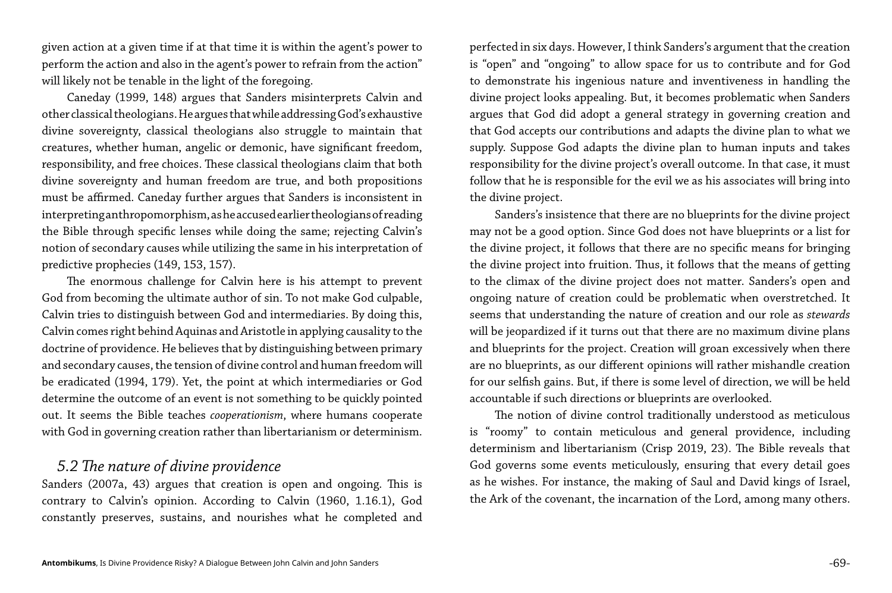given action at a given time if at that time it is within the agent's power to perform the action and also in the agent's power to refrain from the action" will likely not be tenable in the light of the foregoing.

Caneday (1999, 148) argues that Sanders misinterprets Calvin and other classical theologians. He argues that while addressing God's exhaustive divine sovereignty, classical theologians also struggle to maintain that creatures, whether human, angelic or demonic, have significant freedom, responsibility, and free choices. These classical theologians claim that both divine sovereignty and human freedom are true, and both propositions must be affirmed. Caneday further argues that Sanders is inconsistent in interpreting anthropomorphism, as he accused earlier theologians of reading the Bible through specific lenses while doing the same; rejecting Calvin's notion of secondary causes while utilizing the same in his interpretation of predictive prophecies (149, 153, 157).

The enormous challenge for Calvin here is his attempt to prevent God from becoming the ultimate author of sin. To not make God culpable, Calvin tries to distinguish between God and intermediaries. By doing this, Calvin comes right behind Aquinas and Aristotle in applying causality to the doctrine of providence. He believes that by distinguishing between primary and secondary causes, the tension of divine control and human freedom will be eradicated (1994, 179). Yet, the point at which intermediaries or God determine the outcome of an event is not something to be quickly pointed out. It seems the Bible teaches *cooperationism*, where humans cooperate with God in governing creation rather than libertarianism or determinism.

#### *5.2 The nature of divine providence*

Sanders (2007a, 43) argues that creation is open and ongoing. This is contrary to Calvin's opinion. According to Calvin (1960, 1.16.1), God constantly preserves, sustains, and nourishes what he completed and

perfected in six days. However, I think Sanders's argument that the creation is "open" and "ongoing" to allow space for us to contribute and for God to demonstrate his ingenious nature and inventiveness in handling the divine project looks appealing. But, it becomes problematic when Sanders argues that God did adopt a general strategy in governing creation and that God accepts our contributions and adapts the divine plan to what we supply. Suppose God adapts the divine plan to human inputs and takes responsibility for the divine project's overall outcome. In that case, it must follow that he is responsible for the evil we as his associates will bring into the divine project.

Sanders's insistence that there are no blueprints for the divine project may not be a good option. Since God does not have blueprints or a list for the divine project, it follows that there are no specific means for bringing the divine project into fruition. Thus, it follows that the means of getting to the climax of the divine project does not matter. Sanders's open and ongoing nature of creation could be problematic when overstretched. It seems that understanding the nature of creation and our role as *stewards* will be jeopardized if it turns out that there are no maximum divine plans and blueprints for the project. Creation will groan excessively when there are no blueprints, as our different opinions will rather mishandle creation for our selfish gains. But, if there is some level of direction, we will be held accountable if such directions or blueprints are overlooked.

The notion of divine control traditionally understood as meticulous is "roomy" to contain meticulous and general providence, including determinism and libertarianism (Crisp 2019, 23). The Bible reveals that God governs some events meticulously, ensuring that every detail goes as he wishes. For instance, the making of Saul and David kings of Israel, the Ark of the covenant, the incarnation of the Lord, among many others.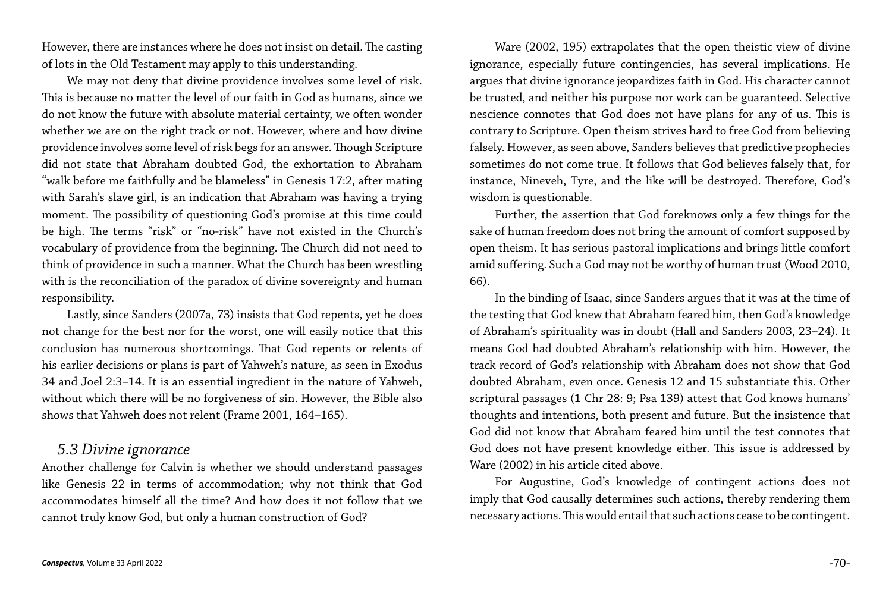However, there are instances where he does not insist on detail. The casting of lots in the Old Testament may apply to this understanding.

We may not deny that divine providence involves some level of risk. This is because no matter the level of our faith in God as humans, since we do not know the future with absolute material certainty, we often wonder whether we are on the right track or not. However, where and how divine providence involves some level of risk begs for an answer. Though Scripture did not state that Abraham doubted God, the exhortation to Abraham "walk before me faithfully and be blameless" in Genesis 17:2, after mating with Sarah's slave girl, is an indication that Abraham was having a trying moment. The possibility of questioning God's promise at this time could be high. The terms "risk" or "no-risk" have not existed in the Church's vocabulary of providence from the beginning. The Church did not need to think of providence in such a manner. What the Church has been wrestling with is the reconciliation of the paradox of divine sovereignty and human responsibility.

Lastly, since Sanders (2007a, 73) insists that God repents, yet he does not change for the best nor for the worst, one will easily notice that this conclusion has numerous shortcomings. That God repents or relents of his earlier decisions or plans is part of Yahweh's nature, as seen in Exodus 34 and Joel 2:3–14. It is an essential ingredient in the nature of Yahweh, without which there will be no forgiveness of sin. However, the Bible also shows that Yahweh does not relent (Frame 2001, 164–165).

#### *5.3 Divine ignorance*

Another challenge for Calvin is whether we should understand passages like Genesis 22 in terms of accommodation; why not think that God accommodates himself all the time? And how does it not follow that we cannot truly know God, but only a human construction of God?

Ware (2002, 195) extrapolates that the open theistic view of divine ignorance, especially future contingencies, has several implications. He argues that divine ignorance jeopardizes faith in God. His character cannot be trusted, and neither his purpose nor work can be guaranteed. Selective nescience connotes that God does not have plans for any of us. This is contrary to Scripture. Open theism strives hard to free God from believing falsely. However, as seen above, Sanders believes that predictive prophecies sometimes do not come true. It follows that God believes falsely that, for instance, Nineveh, Tyre, and the like will be destroyed. Therefore, God's wisdom is questionable.

Further, the assertion that God foreknows only a few things for the sake of human freedom does not bring the amount of comfort supposed by open theism. It has serious pastoral implications and brings little comfort amid suffering. Such a God may not be worthy of human trust (Wood 2010, 66).

In the binding of Isaac, since Sanders argues that it was at the time of the testing that God knew that Abraham feared him, then God's knowledge of Abraham's spirituality was in doubt (Hall and Sanders 2003, 23–24). It means God had doubted Abraham's relationship with him. However, the track record of God's relationship with Abraham does not show that God doubted Abraham, even once. Genesis 12 and 15 substantiate this. Other scriptural passages (1 Chr 28: 9; Psa 139) attest that God knows humans' thoughts and intentions, both present and future. But the insistence that God did not know that Abraham feared him until the test connotes that God does not have present knowledge either. This issue is addressed by Ware (2002) in his article cited above.

For Augustine, God's knowledge of contingent actions does not imply that God causally determines such actions, thereby rendering them necessary actions. This would entail that such actions cease to be contingent.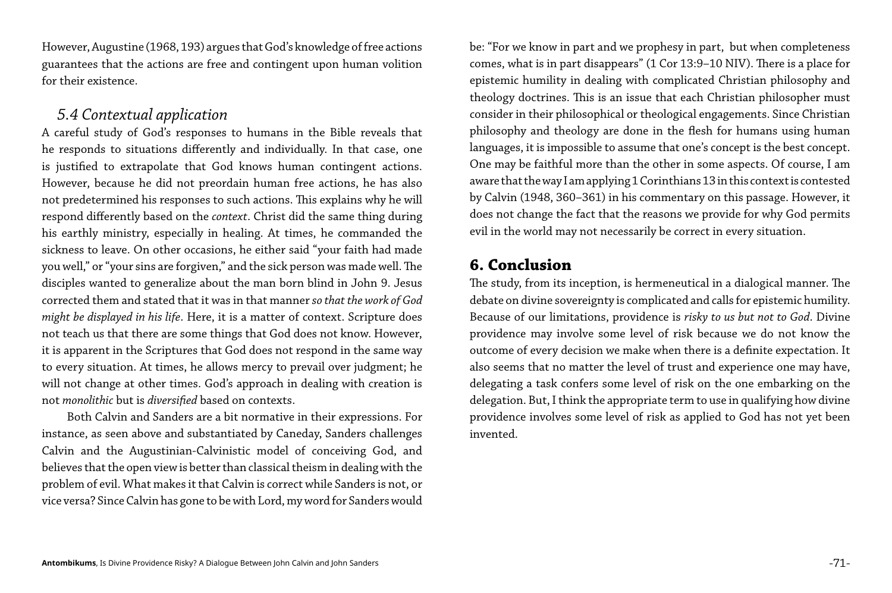However, Augustine (1968, 193) argues that God's knowledge of free actions guarantees that the actions are free and contingent upon human volition for their existence.

#### *5.4 Contextual application*

A careful study of God's responses to humans in the Bible reveals that he responds to situations differently and individually. In that case, one is justified to extrapolate that God knows human contingent actions. However, because he did not preordain human free actions, he has also not predetermined his responses to such actions. This explains why he will respond differently based on the *context*. Christ did the same thing during his earthly ministry, especially in healing. At times, he commanded the sickness to leave. On other occasions, he either said "your faith had made you well," or "your sins are forgiven," and the sick person was made well. The disciples wanted to generalize about the man born blind in John 9. Jesus corrected them and stated that it was in that manner *so that the work of God might be displayed in his life*. Here, it is a matter of context. Scripture does not teach us that there are some things that God does not know. However, it is apparent in the Scriptures that God does not respond in the same way to every situation. At times, he allows mercy to prevail over judgment; he will not change at other times. God's approach in dealing with creation is not *monolithic* but is *diversified* based on contexts.

Both Calvin and Sanders are a bit normative in their expressions. For instance, as seen above and substantiated by Caneday, Sanders challenges Calvin and the Augustinian-Calvinistic model of conceiving God, and believes that the open view is better than classical theism in dealing with the problem of evil. What makes it that Calvin is correct while Sanders is not, or vice versa? Since Calvin has gone to be with Lord, my word for Sanders would be: "For we know in part and we prophesy in part, but when completeness comes, what is in part disappears" (1 Cor 13:9–10 NIV). There is a place for epistemic humility in dealing with complicated Christian philosophy and theology doctrines. This is an issue that each Christian philosopher must consider in their philosophical or theological engagements. Since Christian philosophy and theology are done in the flesh for humans using human languages, it is impossible to assume that one's concept is the best concept. One may be faithful more than the other in some aspects. Of course, I am aware that the way I am applying 1 Corinthians 13 in this context is contested by Calvin (1948, 360–361) in his commentary on this passage. However, it does not change the fact that the reasons we provide for why God permits evil in the world may not necessarily be correct in every situation.

#### **6. Conclusion**

The study, from its inception, is hermeneutical in a dialogical manner. The debate on divine sovereignty is complicated and calls for epistemic humility. Because of our limitations, providence is *risky to us but not to God*. Divine providence may involve some level of risk because we do not know the outcome of every decision we make when there is a definite expectation. It also seems that no matter the level of trust and experience one may have, delegating a task confers some level of risk on the one embarking on the delegation. But, I think the appropriate term to use in qualifying how divine providence involves some level of risk as applied to God has not yet been invented.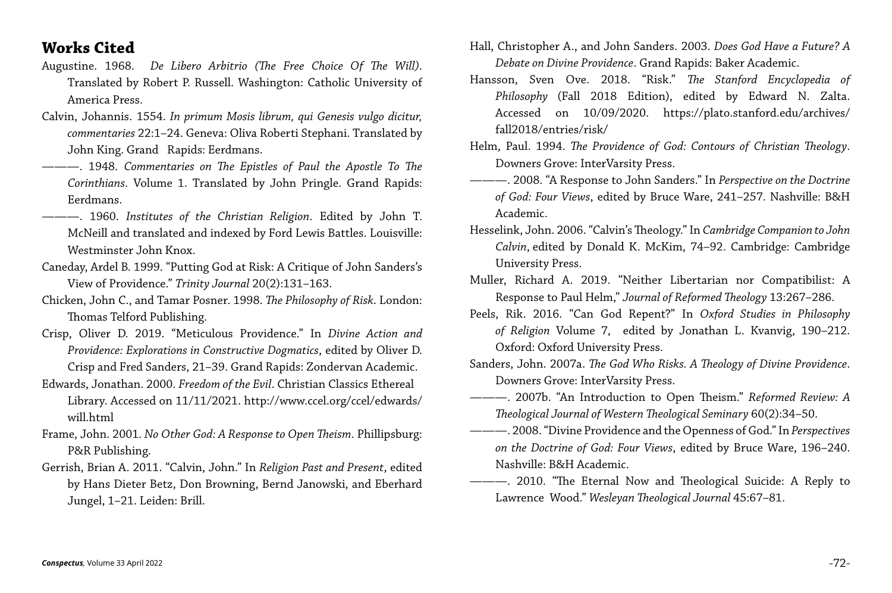#### **Works Cited**

- Augustine. 1968. *De Libero Arbitrio (The Free Choice Of The Will)*. Translated by Robert P. Russell. Washington: Catholic University of America Press.
- Calvin, Johannis. 1554. *In primum Mosis librum, qui Genesis vulgo dicitur, commentaries* 22:1–24. Geneva: Oliva Roberti Stephani. Translated by John King. Grand Rapids: Eerdmans.
- ———. 1948. *Commentaries on The Epistles of Paul the Apostle To The Corinthians*. Volume 1. Translated by John Pringle. Grand Rapids: Eerdmans.
- ———. 1960. *Institutes of the Christian Religion*. Edited by John T. McNeill and translated and indexed by Ford Lewis Battles. Louisville: Westminster John Knox.
- Caneday, Ardel B. 1999. "Putting God at Risk: A Critique of John Sanders's View of Providence." *Trinity Journal* 20(2):131–163.
- Chicken, John C., and Tamar Posner. 1998. *The Philosophy of Risk*. London: Thomas Telford Publishing.
- Crisp, Oliver D. 2019. "Meticulous Providence." In *Divine Action and Providence: Explorations in Constructive Dogmatics*, edited by Oliver D. Crisp and Fred Sanders, 21–39. Grand Rapids: Zondervan Academic.
- Edwards, Jonathan. 2000. *Freedom of the Evil*. Christian Classics Ethereal Library. Accessed on 11/11/2021. http://www.ccel.org/ccel/edwards/ will.html
- Frame, John. 2001. *No Other God: A Response to Open Theism*. Phillipsburg: P&R Publishing.
- Gerrish, Brian A. 2011. "Calvin, John." In *Religion Past and Present*, edited by Hans Dieter Betz, Don Browning, Bernd Janowski, and Eberhard Jungel, 1–21. Leiden: Brill.

Hall, Christopher A., and John Sanders. 2003. *Does God Have a Future? A Debate on Divine Providence*. Grand Rapids: Baker Academic.

Hansson, Sven Ove. 2018. "Risk." *The Stanford Encyclopedia of Philosophy* (Fall 2018 Edition), edited by Edward N. Zalta. Accessed on 10/09/2020. https://plato.stanford.edu/archives/

Helm, Paul. 1994. *The Providence of God: Contours of Christian Theology*.

———. 2008. "A Response to John Sanders." In *Perspective on the Doctrine of God: Four Views*, edited by Bruce Ware, 241–257. Nashville: B&H

Hesselink, John. 2006. "Calvin's Theology." In *Cambridge Companion to John Calvin*, edited by Donald K. McKim, 74–92. Cambridge: Cambridge

Muller, Richard A. 2019. "Neither Libertarian nor Compatibilist: A Response to Paul Helm," *Journal of Reformed Theology* 13:267–286.

- 
- fall2018/entries/risk/
- Downers Grove: InterVarsity Press.
- Academic.
- University Press.
- 
- Oxford: Oxford University Press.
- 
- Downers Grove: InterVarsity Press.
- 
- - Nashville: B&H Academic.
- 

Peels, Rik. 2016. "Can God Repent?" In *Oxford Studies in Philosophy of Religion* Volume 7, edited by Jonathan L. Kvanvig, 190–212.

Sanders, John. 2007a. *The God Who Risks. A Theology of Divine Providence*.

———. 2007b. "An Introduction to Open Theism." *Reformed Review: A Theological Journal of Western Theological Seminary* 60(2):34–50.

———. 2008. "Divine Providence and the Openness of God." In *Perspectives on the Doctrine of God: Four Views*, edited by Bruce Ware, 196–240.

———. 2010. "The Eternal Now and Theological Suicide: A Reply to Lawrence Wood." *Wesleyan Theological Journal* 45:67–81.